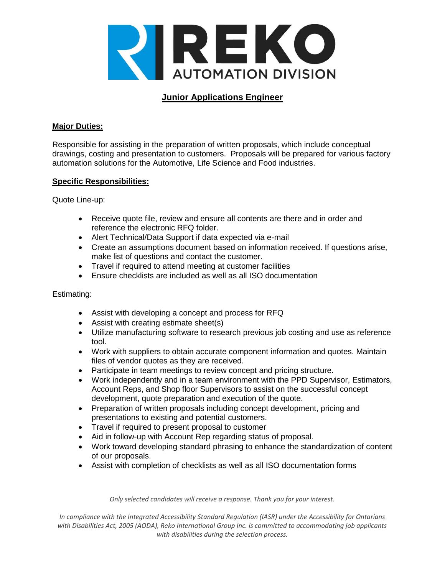

# **Junior Applications Engineer**

### **Major Duties:**

Responsible for assisting in the preparation of written proposals, which include conceptual drawings, costing and presentation to customers. Proposals will be prepared for various factory automation solutions for the Automotive, Life Science and Food industries.

#### **Specific Responsibilities:**

Quote Line-up:

- Receive quote file, review and ensure all contents are there and in order and reference the electronic RFQ folder.
- Alert Technical/Data Support if data expected via e-mail
- Create an assumptions document based on information received. If questions arise, make list of questions and contact the customer.
- Travel if required to attend meeting at customer facilities
- Ensure checklists are included as well as all ISO documentation

#### Estimating:

- Assist with developing a concept and process for RFQ
- Assist with creating estimate sheet(s)
- Utilize manufacturing software to research previous job costing and use as reference tool.
- Work with suppliers to obtain accurate component information and quotes. Maintain files of vendor quotes as they are received.
- Participate in team meetings to review concept and pricing structure.
- Work independently and in a team environment with the PPD Supervisor, Estimators, Account Reps, and Shop floor Supervisors to assist on the successful concept development, quote preparation and execution of the quote.
- Preparation of written proposals including concept development, pricing and presentations to existing and potential customers.
- Travel if required to present proposal to customer
- Aid in follow-up with Account Rep regarding status of proposal.
- Work toward developing standard phrasing to enhance the standardization of content of our proposals.
- Assist with completion of checklists as well as all ISO documentation forms

*Only selected candidates will receive a response. Thank you for your interest.*

*In compliance with the Integrated Accessibility Standard Regulation (IASR) under the Accessibility for Ontarians with Disabilities Act, 2005 (AODA), Reko International Group Inc. is committed to accommodating job applicants with disabilities during the selection process.*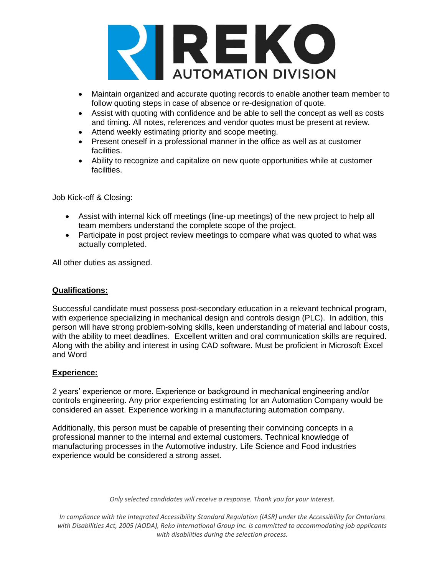

- Maintain organized and accurate quoting records to enable another team member to follow quoting steps in case of absence or re-designation of quote.
- Assist with quoting with confidence and be able to sell the concept as well as costs and timing. All notes, references and vendor quotes must be present at review.
- Attend weekly estimating priority and scope meeting.
- Present oneself in a professional manner in the office as well as at customer facilities.
- Ability to recognize and capitalize on new quote opportunities while at customer facilities.

Job Kick-off & Closing:

- Assist with internal kick off meetings (line-up meetings) of the new project to help all team members understand the complete scope of the project.
- Participate in post project review meetings to compare what was quoted to what was actually completed.

All other duties as assigned.

# **Qualifications:**

Successful candidate must possess post-secondary education in a relevant technical program, with experience specializing in mechanical design and controls design (PLC). In addition, this person will have strong problem-solving skills, keen understanding of material and labour costs, with the ability to meet deadlines. Excellent written and oral communication skills are required. Along with the ability and interest in using CAD software. Must be proficient in Microsoft Excel and Word

# **Experience:**

2 years' experience or more. Experience or background in mechanical engineering and/or controls engineering. Any prior experiencing estimating for an Automation Company would be considered an asset. Experience working in a manufacturing automation company.

Additionally, this person must be capable of presenting their convincing concepts in a professional manner to the internal and external customers. Technical knowledge of manufacturing processes in the Automotive industry. Life Science and Food industries experience would be considered a strong asset.

*Only selected candidates will receive a response. Thank you for your interest.*

*In compliance with the Integrated Accessibility Standard Regulation (IASR) under the Accessibility for Ontarians with Disabilities Act, 2005 (AODA), Reko International Group Inc. is committed to accommodating job applicants with disabilities during the selection process.*